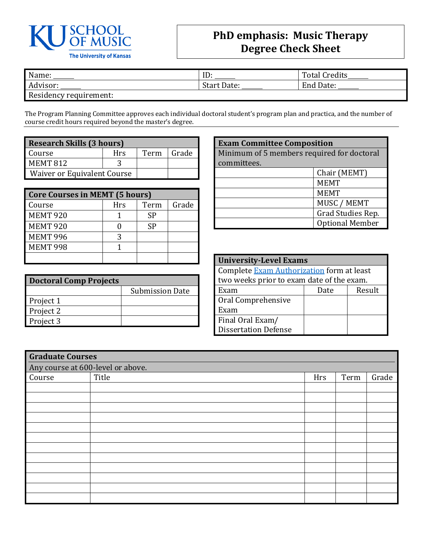

## **PhD emphasis: Music Therapy Degree Check Sheet**

| Name:                  | ID                 | <b>Total Credits</b> |
|------------------------|--------------------|----------------------|
| Advisor:               | <b>Start Date:</b> | End Date:            |
| Residency requirement: |                    |                      |

The Program Planning Committee approves each individual doctoral student's program plan and practica, and the number of course credit hours required beyond the master's degree.

| <b>Research Skills (3 hours)</b> |      |       |  |  |  |
|----------------------------------|------|-------|--|--|--|
| Course                           | Term | Grade |  |  |  |
| <b>MEMT 812</b>                  |      |       |  |  |  |
| Waiver or Equivalent Course      |      |       |  |  |  |

| <b>Core Courses in MEMT (5 hours)</b> |     |      |       |  |  |
|---------------------------------------|-----|------|-------|--|--|
| Course                                | Hrs | Term | Grade |  |  |
| <b>MEMT 920</b>                       |     | SP   |       |  |  |
| <b>MEMT 920</b>                       |     | SP   |       |  |  |
| <b>MEMT 996</b>                       |     |      |       |  |  |
| <b>MEMT 998</b>                       |     |      |       |  |  |
|                                       |     |      |       |  |  |

| <b>Doctoral Comp Projects</b> |                        |  |  |  |
|-------------------------------|------------------------|--|--|--|
|                               | <b>Submission Date</b> |  |  |  |
| Project 1                     |                        |  |  |  |
| Project 2                     |                        |  |  |  |
| Project 3                     |                        |  |  |  |

| <b>Exam Committee Composition</b>          |             |  |  |  |
|--------------------------------------------|-------------|--|--|--|
| Minimum of 5 members required for doctoral |             |  |  |  |
| committees.                                |             |  |  |  |
| Chair (MEMT)                               |             |  |  |  |
| <b>MEMT</b>                                |             |  |  |  |
|                                            | <b>MEMT</b> |  |  |  |
| MUSC / MEMT                                |             |  |  |  |
| Grad Studies Rep.                          |             |  |  |  |
| <b>Optional Member</b>                     |             |  |  |  |

| <b>University-Level Exams</b>             |  |  |  |  |  |
|-------------------------------------------|--|--|--|--|--|
| Complete Exam Authorization form at least |  |  |  |  |  |
| two weeks prior to exam date of the exam. |  |  |  |  |  |
| Result<br>Date<br>Exam                    |  |  |  |  |  |
| Oral Comprehensive                        |  |  |  |  |  |
| Exam                                      |  |  |  |  |  |
| Final Oral Exam/                          |  |  |  |  |  |
| <b>Dissertation Defense</b>               |  |  |  |  |  |

| <b>Graduate Courses</b>           |                               |  |  |  |  |  |
|-----------------------------------|-------------------------------|--|--|--|--|--|
| Any course at 600-level or above. |                               |  |  |  |  |  |
| Course                            | Title<br>Grade<br>Term<br>Hrs |  |  |  |  |  |
|                                   |                               |  |  |  |  |  |
|                                   |                               |  |  |  |  |  |
|                                   |                               |  |  |  |  |  |
|                                   |                               |  |  |  |  |  |
|                                   |                               |  |  |  |  |  |
|                                   |                               |  |  |  |  |  |
|                                   |                               |  |  |  |  |  |
|                                   |                               |  |  |  |  |  |
|                                   |                               |  |  |  |  |  |
|                                   |                               |  |  |  |  |  |
|                                   |                               |  |  |  |  |  |
|                                   |                               |  |  |  |  |  |